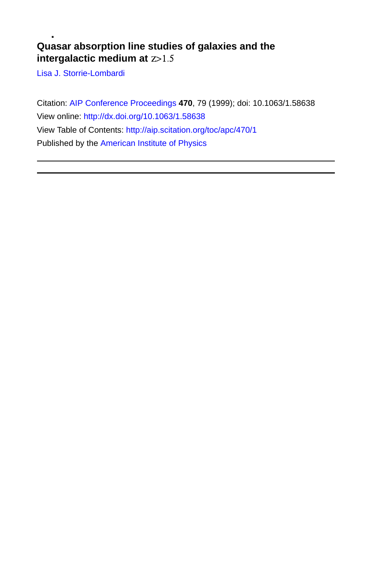### **Quasar absorption line studies of galaxies and the intergalactic medium at**

[Lisa J. Storrie-Lombardi](http://aip.scitation.org/author/Storrie-Lombardi%2C+Lisa+J)

Citation: [AIP Conference Proceedings](/loi/apc) **470**, 79 (1999); doi: 10.1063/1.58638 View online:<http://dx.doi.org/10.1063/1.58638> View Table of Contents:<http://aip.scitation.org/toc/apc/470/1> Published by the [American Institute of Physics](http://aip.scitation.org/publisher/)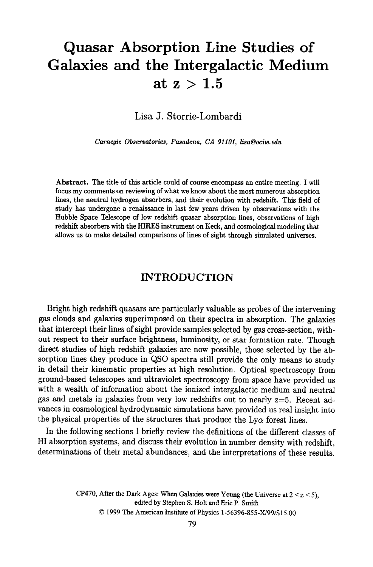# **Quasar Absorption Line Studies of Galaxies and the Intergalactic Medium**  at  $z > 1.5$

**Lisa J. Storrie-Lombardi** 

*Carnegie Observatories, Pasadena, CA 91101, lisa@ociw.edu* 

**Abstract.** The title of this article could of course encompass an entire meeting. I will focus my comments on reviewing of what we know about the most numerous absorption lines, the neutral hydrogen absorbers, and their evolution with redshift. This field of study has undergone a renaissance in last few years driven by observations with the Hubble Space Telescope of low redshift quasar absorption lines, observations of high redshift absorbers with the HIRES instrument on Keck, and cosmological modeling that allows us to make detailed comparisons of lines of sight through simulated universes.

### **INTRODUCTION**

Bright high redshift quasars are particularly valuable as probes of the intervening gas clouds and galaxies superimposed on their spectra in absorption. The galaxies that intercept their lines of sight provide samples selected by gas cross-section, without respect to their surface brightness, luminosity, or star formation rate. Though direct studies of high redshift galaxies are now possible, those selected by the absorption lines they produce in QSO spectra still provide the only means to study in detail their kinematic properties at high resolution. Optical spectroscopy from ground-based telescopes and ultraviolet spectroscopy from space have provided us with a wealth of information about the ionized intergalactic medium and neutral gas and metals in galaxies from very low redshifts out to nearly  $z=5$ . Recent advances in cosmological hydrodynamic simulations have provided us real insight into the physical properties of the structures that produce the  $Ly\alpha$  forest lines.

In the following sections I briefly review the definitions of the different classes of HI absorption systems, and discuss their evolution in number density with redshift, determinations of their metal abundances, and the interpretations of these results.

> CP470, After the Dark Ages: When Galaxies were Young (the Universe at  $2 < z < 5$ ), edited by Stephen S. Holt and Eric P. Smith © 1999 The American Institute of Physics 1-56396-855-X/99/\$15.00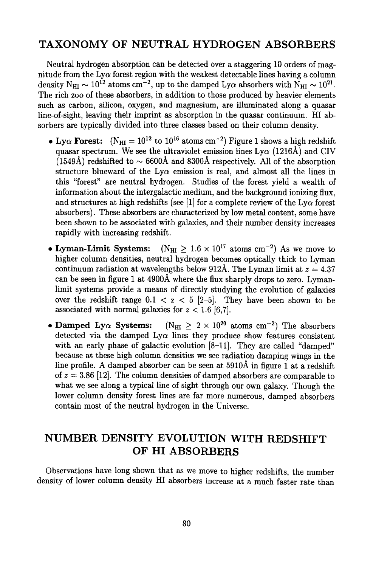### **TAXONOMY OF NEUTRAL HYDROGEN ABSORBERS**

Neutral hydrogen absorption can be detected over a staggering 10 orders of magnitude from the Ly $\alpha$  forest region with the weakest detectable lines having a column density N<sub>HI</sub>  $\sim 10^{12}$  atoms cm<sup>-2</sup>, up to the damped Ly $\alpha$  absorbers with N<sub>HI</sub>  $\sim 10^{21}$ . The rich zoo of these absorbers, in addition to those produced by heavier elements such as carbon, silicon, oxygen, and magnesium, are illuminated along a quasar line-of-sight, leaving their imprint as absorption in the quasar continuum. HI absorbers are typically divided into three classes based on their column density.

- Lv $\alpha$  Forest:  $(N_{\text{HI}} = 10^{12} \text{ to } 10^{16} \text{ atoms cm}^{-2})$  Figure 1 shows a high redshift quasar spectrum. We see the ultraviolet emission lines  $\text{Ly}\alpha$  (1216Å) and CIV (1549Å) redshifted to  $\sim$  6600Å and 8300Å respectively. All of the absorption structure blueward of the Ly $\alpha$  emission is real, and almost all the lines in this "forest" are neutral hydrogen. Studies of the forest yield a wealth of information about the intergalactic medium, and the background ionizing flux, and structures at high redshifts (see [1] for a complete review of the  $Lv\alpha$  forest absorbers). These absorbers are characterized by low metal content, some have been shown to be associated with galaxies, and their number density increases rapidly with increasing redshift.
- Lyman-Limit Systems:  $(N_{\text{HI}} > 1.6 \times 10^{17} \text{ atoms cm}^{-2})$  As we move to higher column densities, neutral hydrogen becomes optically thick to Lyman continuum radiation at wavelengths below 912Å. The Lyman limit at  $z = 4.37$ can be seen in figure 1 at  $4900\text{\AA}$  where the flux sharply drops to zero. Lymanlimit systems provide a means of directly studying the evolution of galaxies over the redshift range  $0.1 < z < 5$  [2-5]. They have been shown to be associated with normal galaxies for  $z < 1.6$  [6,7].
- Damped Ly $\alpha$  Systems:  $(N_{\text{HI}} \geq 2 \times 10^{20} \text{ atoms cm}^{-2})$  The absorbers detected via the damped  $Ly\alpha$  lines they produce show features consistent with an early phase of galactic evolution [8-11]. They are called "damped" because at these high column densities we see radiation damping wings in the line profile. A damped absorber can be seen at  $5910\text{\AA}$  in figure 1 at a redshift of  $z = 3.86$  [12]. The column densities of damped absorbers are comparable to what we see along a typical line of sight through our own galaxy. Though the lower column density forest lines are far more numerous, damped absorbers contain most of the neutral hydrogen in the Universe.

## **NUMBER DENSITY EVOLUTION WITH REDSHIFT OF HI ABSORBERS**

Observations have long shown that as we move to higher redshifts, the number density of lower column density HI absorbers increase at a much faster rate than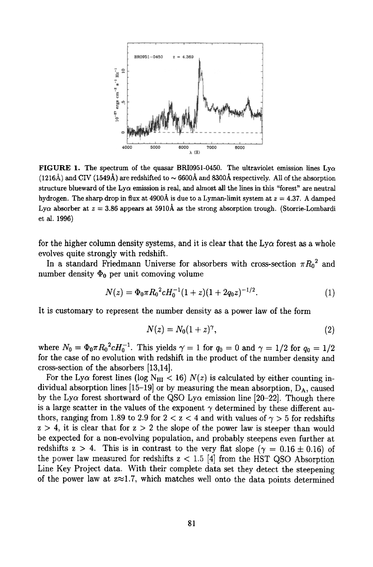

FIGURE 1. The spectrum of the quasar BRI0951-0450. The ultraviolet emission lines  $Ly\alpha$  $(1216\text{\AA})$  and CIV (1549 $\text{\AA}$ ) are redshifted to  $\sim 6600\text{\AA}$  and 8300Å respectively. All of the absorption structure blueward of the  $Ly\alpha$  emission is real, and almost all the lines in this "forest" are neutral hydrogen. The sharp drop in flux at 4900Å is due to a Lyman-limit system at  $z = 4.37$ . A damped Ly $\alpha$  absorber at  $z = 3.86$  appears at 5910Å as the strong absorption trough. (Storrie-Lombardi et al. 1996)

for the higher column density systems, and it is clear that the  $Ly\alpha$  forest as a whole evolves quite strongly with redshift.

In a standard Friedmann Universe for absorbers with cross-section  $\pi R_0^2$  and number density  $\Phi_0$  per unit comoving volume

$$
N(z) = \Phi_0 \pi R_0^2 c H_0^{-1} (1+z)(1+2q_0 z)^{-1/2}.
$$
 (1)

It is customary to represent the number density as a power law of the form

$$
N(z) = N_0(1+z)^{\gamma},\tag{2}
$$

where  $N_0 = \Phi_0 \pi R_0^2 c H_0^{-1}$ . This yields  $\gamma = 1$  for  $q_0 = 0$  and  $\gamma = 1/2$  for  $q_0 = 1/2$ for the case of no evolution with redshift in the product of the number density and cross-section of the absorbers [13,14].

For the Ly $\alpha$  forest lines (log N<sub>HI</sub> < 16)  $N(z)$  is calculated by either counting individual absorption lines [15-19] or by measuring the mean absorption,  $D_A$ , caused by the Ly $\alpha$  forest shortward of the QSO Ly $\alpha$  emission line [20-22]. Though there is a large scatter in the values of the exponent  $\gamma$  determined by these different authors, ranging from 1.89 to 2.9 for  $2 < z < 4$  and with values of  $\gamma > 5$  for redshifts  $z > 4$ , it is clear that for  $z > 2$  the slope of the power law is steeper than would be expected for a non-evolving population, and probably steepens even further at redshifts  $z > 4$ . This is in contrast to the very flat slope  $(\gamma = 0.16 \pm 0.16)$  of the power law measured for redshifts  $z < 1.5$  [4] from the HST QSO Absorption Line Key Project data. With their complete data set they detect the steepening of the power law at  $z \approx 1.7$ , which matches well onto the data points determined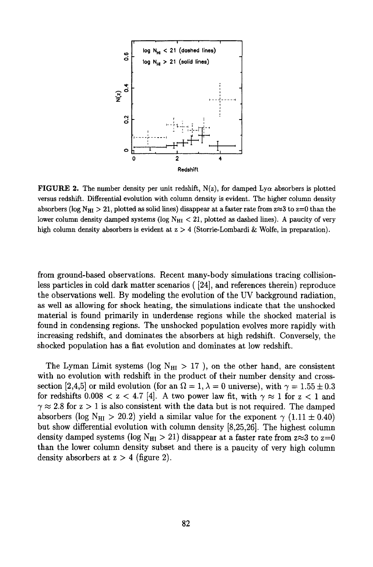

**FIGURE 2.** The number density per unit redshift,  $N(z)$ , for damped Ly $\alpha$  absorbers is plotted versus redshift. Differential evolution with column density is evident. The higher column density absorbers (log N<sub>HI</sub> > 21, plotted as solid lines) disappear at a faster rate from  $z \approx 3$  to  $z=0$  than the lower column density damped systems (log  $N_{HI} < 21$ , plotted as dashed lines). A paucity of very high column density absorbers is evident at  $z > 4$  (Storrie-Lombardi & Wolfe, in preparation).

from ground-based observations. Recent many-body simulations tracing collisionless particles in cold dark matter scenarios ( [24], and references therein) reproduce the observations well. By modeling the evolution of the UV background radiation, as well as allowing for shock heating, the simulations indicate that the unshocked material is found primarily in underdense regions while the shocked material is found in condensing regions. The unshocked population evolves more rapidly with increasing redshift, and dominates the absorbers at high redshift. Conversely, the shocked population has a fiat evolution and dominates at low redshift.

The Lyman Limit systems (log  $N_{\text{HI}} > 17$ ), on the other hand, are consistent with no evolution with redshift in the product of their number density and crosssection [2,4,5] or mild evolution (for an  $\Omega = 1, \lambda = 0$  universe), with  $\gamma = 1.55 \pm 0.3$ for redshifts  $0.008 < z < 4.7$  [4]. A two power law fit, with  $\gamma \approx 1$  for  $z < 1$  and  $\gamma \approx 2.8$  for  $z > 1$  is also consistent with the data but is not required. The damped absorbers (log N<sub>HI</sub> > 20.2) yield a similar value for the exponent  $\gamma$  (1.11  $\pm$  0.40) but show differential evolution with column density [8,25,26]. The highest column density damped systems (log  $N_{\text{HI}} > 21$ ) disappear at a faster rate from  $z \approx 3$  to  $z=0$ than the lower column density subset and there is a paucity of very high column density absorbers at  $z > 4$  (figure 2).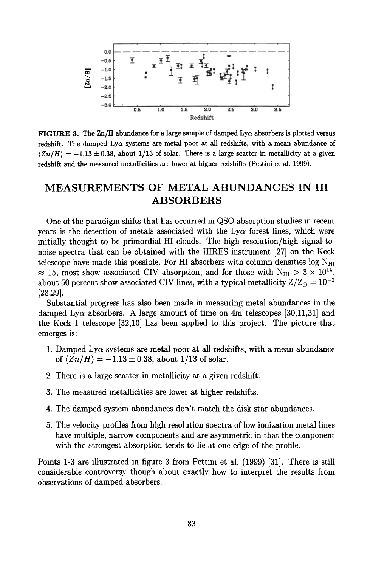

FIGURE 3. The Zn/H abundance for a large sample of damped  $Ly\alpha$  absorbers is plotted versus redshift. The damped Ly $\alpha$  systems are metal poor at all redshifts, with a mean abundance of  $\langle Zn/H \rangle = -1.13 \pm 0.38$ , about 1/13 of solar. There is a large scatter in metallicity at a given redshift and the measured metallicities are lower at higher redshifts (Pettini et al. 1999).

### **MEASUREMENTS OF METAL ABUNDANCES IN HI ABSORBERS**

One of the paradigm shifts that has occurred in QSO absorption studies in recent years is the detection of metals associated with the  $Ly\alpha$  forest lines, which were initially thought to be primordial HI clouds. The high resolution/high signal-tonoise spectra that can be obtained with the HIRES instrument [27] on the Keck telescope have made this possible. For HI absorbers with column densities  $log N_{\text{HI}}$  $\approx$  15, most show associated CIV absorption, and for those with N<sub>HI</sub> > 3  $\times$  10<sup>14</sup>, about 50 percent show associated CIV lines, with a typical metallicity  $Z/Z_{\odot} = 10^{-2}$ [28,29].

Substantial progress has also been made in measuring metal abundances in the damped Ly $\alpha$  absorbers. A large amount of time on 4m telescopes [30,11,31] and the Keck 1 telescope [32,10] has been applied to this project. The picture that emerges is:

- 1. Damped Ly $\alpha$  systems are metal poor at all redshifts, with a mean abundance of  $\langle Zn/H \rangle = -1.13 \pm 0.38$ , about 1/13 of solar.
- 2. There is a large scatter in metallicity at a given redshift.
- 3. The measured metallicities are lower at higher redshifts.
- 4. The damped system abundances don't match the disk star abundances.
- 5. The velocity profiles from high resolution spectra of low ionization metal lines have multiple, narrow components and are asymmetric in that the component with the strongest absorption tends to lie at one edge of the profile.

Points 1-3 are illustrated in figure 3 from Pettini et al. (1999) [31]. There is still considerable controversy though about exactly how to interpret the results from observations of damped absorbers.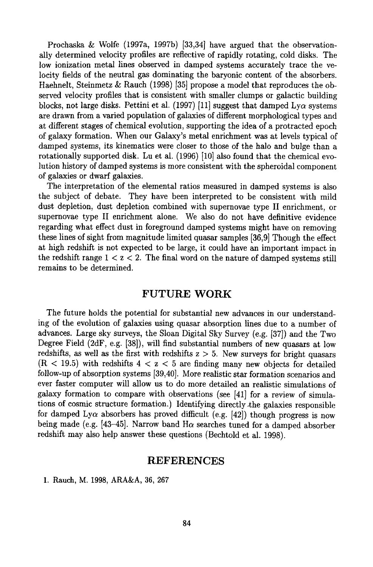Prochaska & Wolfe (1997a, 1997b) [33,34] have argued that the observationally determined velocity profiles are reflective of rapidly rotating, cold disks. The low ionization metal lines observed in damped systems accurately trace the velocity fields of the neutral gas dominating the baryonic content of the absorbers. Haehnelt, Steinmetz & Rauch (1998) [35] propose a model that reproduces the observed velocity profiles that is consistent with smaller clumps or galactic building blocks, not large disks. Pettini et al. (1997) [11] suggest that damped  $Lv\alpha$  systems are drawn from a varied population of galaxies of different morphological types and at different stages of chemical evolution, supporting the idea of a protracted epoch of galaxy formation. When our Galaxy's metal enrichment was at levels typical of damped systems, its kinematics were closer to those of the halo and bulge than a rotationally supported disk. Lu et al. (1996) [10] also found that the chemical evolution history of damped systems is more consistent with the spheroidal component of galaxies or dwarf galaxies.

The interpretation of the elemental ratios measured in damped systems is also the subject of debate. They have been interpreted to be consistent with mild dust depletion, dust depletion combined with supernovae type II enrichment, or supernovae type II enrichment alone. We also do not have definitive evidence regarding what effect dust in foreground damped systems might have on removing these lines of sight from magnitude limited quasar samples [36,9] Though the effect at high redshift is not expected to be large, it could have an important impact in the redshift range  $1 < z < 2$ . The final word on the nature of damped systems still remains to be determined.

#### **FUTURE WORK**

The future holds the potential for substantial new advances in our understanding of the evolution of galaxies using quasar absorption lines due to a number of advances. Large sky surveys, the Sloan Digital Sky Survey (e.g. [37]) and the Two Degree Field (2dF, e.g. [38]), will find substantial numbers of new quasars at low redshifts, as well as the first with redshifts  $z > 5$ . New surveys for bright quasars  $(R < 19.5)$  with redshifts  $4 < z < 5$  are finding many new objects for detailed follow-up of absorption systems [39,40]. More realistic star formation scenarios and ever faster computer will allow us to do more detailed an realistic simulations of galaxy formation to compare with observations (see [41] for a review of simulations of cosmic structure formation.) Identifying directly .the galaxies responsible for damped Ly $\alpha$  absorbers has proved difficult (e.g. [42]) though progress is now being made (e.g. [43-45]. Narrow band  $H\alpha$  searches tuned for a damped absorber redshift may also help answer these questions (Bechtold et al. 1998).

### **REFERENCES**

1. Rauch, M. 1998, ARA&A, 36, 267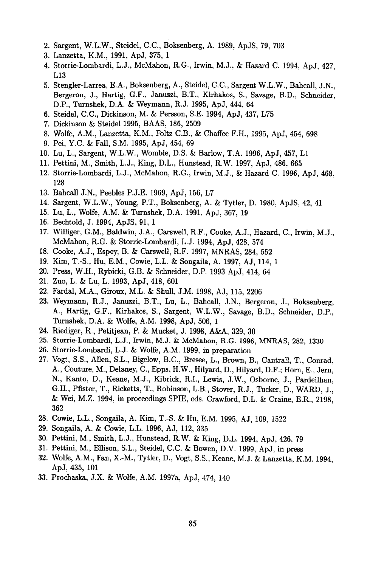- 2. Sargent, W.L.W., Steidel, C.C., Boksenberg, A. 1989, ApJS, 79, 703
- 3. Lanzetta, K.M., 1991, ApJ, 375, 1
- 4. Storrie-Lombardi, L.J., McMahon, R.G., Irwin, M.J., & Hazard C. 1994, ApJ, 427, L13
- 5. Stengler-Larrea, E.A., Boksenberg, A., Steidel, C.C., Sargent W.L.W., Bahcall, J.N., Bergeron, J., Hartig, G.F., Januzzi, B.T., Kirhakos, S., Savage, B.D., Schneider, D.P., Turnshek, D.A. & Weymann, R.J. 1995, ApJ, 444, 64
- 6. Steidel, C.C., Dickinson, M. & Persson, S.E. 1994, ApJ, 437, L75
- 7. Dickinson & Steidel 1995, BAAS, 186, 2509
- 8. Wolfe, A.M., Lanzetta, K.M., Foltz C.B., & Chaffee F.H., 1995, ApJ, 454, 698
- 9. Pei, Y.C. & Fall, S.M. 1995, ApJ, 454, 69
- 10. Lu, L., Sargent, W.L.W., Womble, D.S. & Barlow, T.A. 1996, ApJ, 457, L1
- 11. Pettini, M., Smith, L.J., King, D.L., Hunstead, R.W. 1997, ApJ, 486, 665
- 12. Storrie-Lombardi, L.J., McMahon, R.G., Irwin, M.J., & Hazard C. 1996, ApJ, 468, 128
- 13. Bahcall J.N., Peebles P.J.E. 1969, ApJ, 156, L7
- 14. Sargent, W.L.W., Young, P.T., Boksenberg, A. & Tytler, D. 1980, ApJS, 42, 41
- 15. Lu, L., Wolfe, A.M. & Turnshek, D.A. 1991, ApJ, 367, 19
- 16. Bechtold, J. 1994, ApJS, 91, 1
- 17. Williger, G.M., Baldwin, J.A., Carswell, R.F., Cooke, A.J., Hazard, C., Irwin, M.J., McMahon, R.G. & Storrie-Lombardi, L.J. 1994, ApJ, 428, 574
- 18. Cooke, A.J., Espey, B. & Carswell, R.F. 1997, MNRAS, 284, 552
- 19. Kim, T.-S., Hu, E.M., Cowie, L.L. & Songaila, A. 1997, AJ, 114, 1
- 20. Press, W.H., Rybicki, G.B. & Schneider, D.P. 1993 ApJ, 414, 64
- 21. Zuo, L. & Lu, L. 1993, ApJ, 418, 601
- 22. Fardal, M.A., Giroux, M.L. & Shull, J.M. 1998, AJ, 115, 2206
- 23. Weymann, R.J., Januzzi, B.T., Lu, L., Bahcall, J.N., Bergeron, J., Boksenberg, A., Hartig, G.F., Kirhakos, S., Sargent, W.L.W., Savage, B.D., Schneider, D.P., Turnshek, D.A. & Wolfe, A.M. 1998, ApJ, 506, 1
- 24. Riediger, R., Petitjean, P. & Mucket, J. 1998, A&A, 329, 30
- 25. Storrie-Lombaxdi, L.J., Irwin, M.J. & McMahon, R.G. 1996, MNRAS, 282, 1330
- 26. Storrie-Lombardi, L.J. & Wolfe, A.M. 1999, in preparation
- 27. Vogt, S.S., Allen, S.L., Bigelow, B.C., Bresee, L., Brown, B., Cantrall, T., Conrad, A., Couture, M., Delaney, C., Epps, H.W., Hilyard, D., HiIyard, D.F.; Horn, E., Jern, N., Kanto, D., Keane, M.J., Kibrick, R.I., Lewis, J.W., Osborne, J., Pardeilhan, G.H., Pfister, T., Ricketts, T., Robinson, L.B., Stover, R.J., Tucker, D., WARD, J., & Wei, M.Z. 1994, in proceedings SPIE, eds. Crawford, D.L. & Craine, E.R., 2198, 362
- 28. Cowie, L.L., Songaila, A. Kim, T.-S. & Hu, E.M. 1995, A J, 109, 1522
- 29. Songaila, A. & Cowie, L.L. 1996, A J, 112, 335
- 30. Pettini, M., Smith, L.J., Hunstead, R.W. & King, D.L. 1994, ApJ, 426, 79
- 31. Pettini, M., Ellison, S.L., Steidel, C.C. & Bowen, D.V. 1999, ApJ, in press
- 32. Wolfe, A.M., Fan, X.-M., Tytler, D., Vogt, S.S., Keane, M.J. & Lanzetta, K.M. 1994, ApJ, 435, 101
- 33. Prochaska, J.X. & Wolfe, A.M. 1997a, ApJ, 474, 140